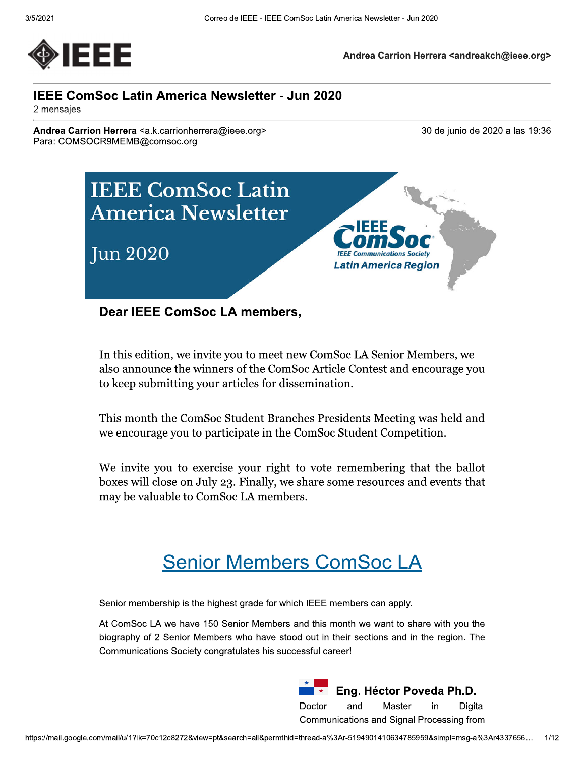

Andrea Carrion Herrera <andreakch@ieee.org>

## **IEEE ComSoc Latin America Newsletter - Jun 2020**

2 mensajes

Andrea Carrion Herrera <a.k.carrionherrera@ieee.org> Para: COMSOCR9MEMB@comsoc.org

30 de junio de 2020 a las 19:36



**Dear IEEE ComSoc LA members,** 

In this edition, we invite you to meet new ComSoc LA Senior Members, we also announce the winners of the ComSoc Article Contest and encourage you to keep submitting your articles for dissemination.

This month the ComSoc Student Branches Presidents Meeting was held and we encourage you to participate in the ComSoc Student Competition.

We invite you to exercise your right to vote remembering that the ballot boxes will close on July 23. Finally, we share some resources and events that may be valuable to ComSoc LA members.

# **Senior Members ComSoc LA**

Senior membership is the highest grade for which IEEE members can apply.

At ComSoc LA we have 150 Senior Members and this month we want to share with you the biography of 2 Senior Members who have stood out in their sections and in the region. The Communications Society congratulates his successful career!

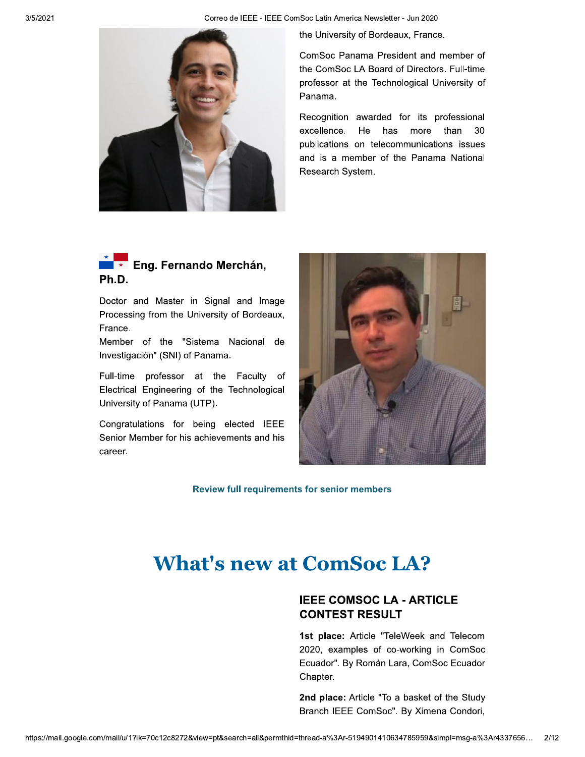Correo de IEEE - IEEE ComSoc Latin America Newsletter - Jun 2020



the University of Bordeaux, France.

ComSoc Panama President and member of the ComSoc LA Board of Directors. Full-time professor at the Technological University of Panama.

Recognition awarded for its professional excellence. He than 30 has more publications on telecommunications issues and is a member of the Panama National Research System.



Doctor and Master in Signal and Image Processing from the University of Bordeaux, France.

Member of the "Sistema Nacional de Investigación" (SNI) of Panama.

Full-time professor at the Faculty of Electrical Engineering of the Technological University of Panama (UTP).

Congratulations for being elected IEEE Senior Member for his achievements and his career.



**Review full requirements for senior members** 

# **What's new at ComSoc LA?**

## **IEEE COMSOC LA - ARTICLE CONTEST RESULT**

1st place: Article "TeleWeek and Telecom 2020, examples of co-working in ComSoc Ecuador". By Román Lara, ComSoc Ecuador Chapter.

2nd place: Article "To a basket of the Study Branch IEEE ComSoc". By Ximena Condori,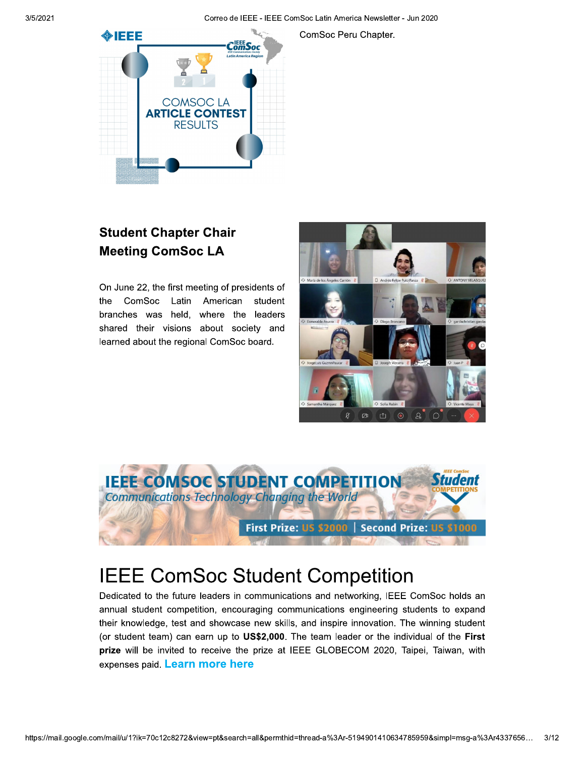Correo de IEEE - IEEE ComSoc Latin America Newsletter - Jun 2020

ComSoc Peru Chapter.



## **Student Chapter Chair Meeting ComSoc LA**

On June 22, the first meeting of presidents of the ComSoc Latin American student branches was held, where the leaders shared their visions about society and learned about the regional ComSoc board.





# **IEEE ComSoc Student Competition**

Dedicated to the future leaders in communications and networking, IEEE ComSoc holds an annual student competition, encouraging communications engineering students to expand their knowledge, test and showcase new skills, and inspire innovation. The winning student (or student team) can earn up to US\$2,000. The team leader or the individual of the First prize will be invited to receive the prize at IEEE GLOBECOM 2020, Taipei, Taiwan, with expenses paid. Learn more here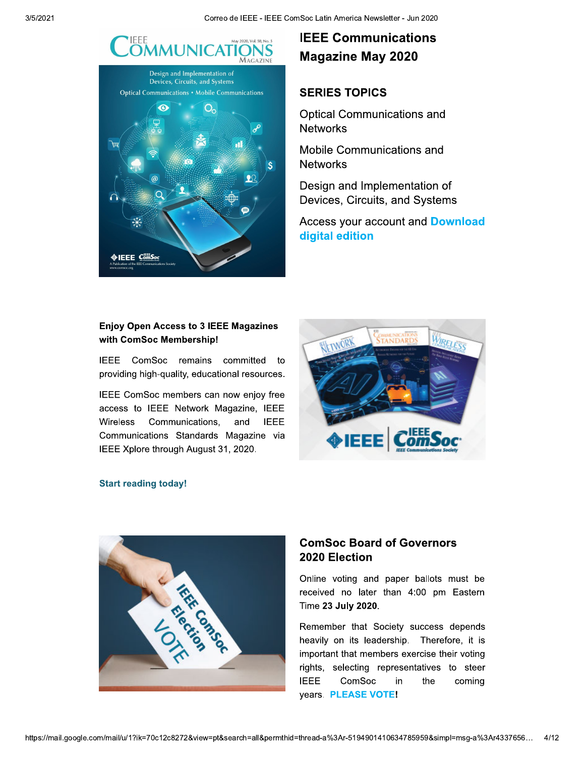

## **IEEE Communications Magazine May 2020**

#### **SERIES TOPICS**

**Optical Communications and Networks** 

Mobile Communications and **Networks** 

Design and Implementation of Devices, Circuits, and Systems

**Access your account and Download** digital edition

#### **Enjoy Open Access to 3 IEEE Magazines** with ComSoc Membership!

IEEE ComSoc remains committed to providing high-quality, educational resources.

IEEE ComSoc members can now enjoy free access to IEEE Network Magazine, IEEE Wireless Communications, and **IEEE** Communications Standards Magazine via IEEE Xplore through August 31, 2020.



#### **Start reading today!**

**VEEE** ComSoc



### **ComSoc Board of Governors** 2020 Election

Online voting and paper ballots must be received no later than 4:00 pm Eastern Time 23 July 2020.

Remember that Society success depends heavily on its leadership. Therefore, it is important that members exercise their voting rights, selecting representatives to steer **IEEE** ComSoc in the coming years. PLEASE VOTE!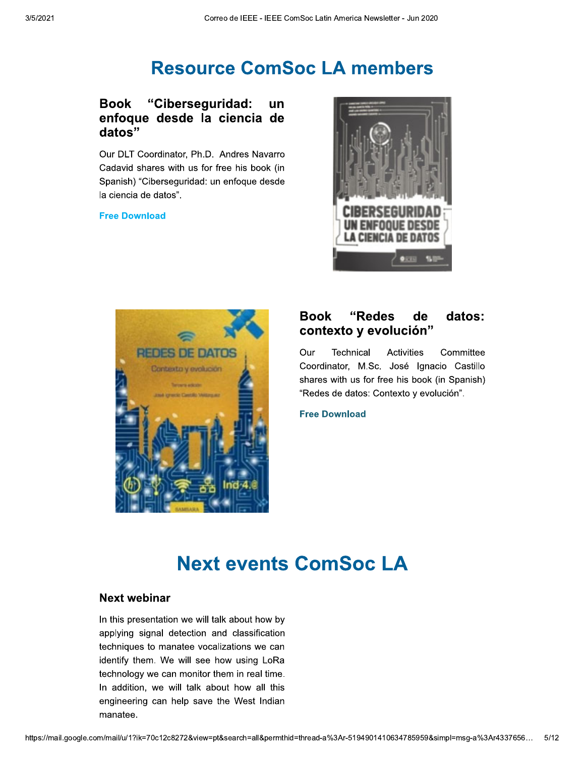## **Resource ComSoc LA members**

#### "Ciberseguridad: **Book** un enfoque desde la ciencia de datos"

Our DLT Coordinator, Ph.D. Andres Navarro Cadavid shares with us for free his book (in Spanish) "Ciberseguridad: un enfoque desde la ciencia de datos".

#### **Free Download**





#### **Book** "Redes de datos: contexto y evolución"

Our Technical Activities Committee Coordinator, M.Sc. José Ignacio Castillo shares with us for free his book (in Spanish) "Redes de datos: Contexto y evolución".

**Free Download** 

# **Next events ComSoc LA**

#### Next webinar

In this presentation we will talk about how by applying signal detection and classification techniques to manatee vocalizations we can identify them. We will see how using LoRa technology we can monitor them in real time. In addition, we will talk about how all this engineering can help save the West Indian manatee.